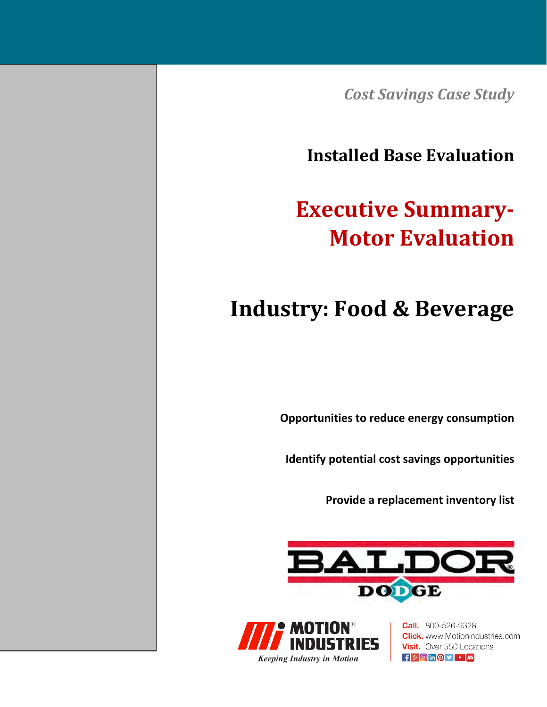*Cost Savings Case Study*

**Installed Base Evaluation**

# **Executive Summary‐ Motor Evaluation**

# **Industry: Food & Beverage**

**Opportunities to reduce energy consumption**

**Identify potential cost savings opportunities**

**Provide a replacement inventory list**





**Call.** 800-526-9328 **Click.** www.MotionIndustries.com **Visit.** Over 550 Locations  $\mathbf{f}$   $\mathbf{S}$   $\odot$  in  $\odot$   $\mathbf{V}$   $\odot$   $\mathbf{m}$